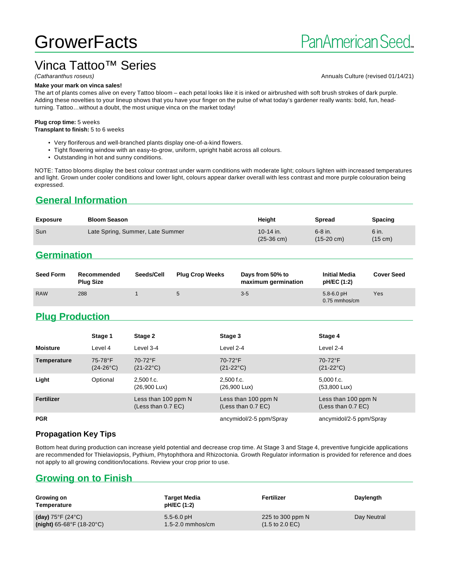# **GrowerFacts**

# Vinca Tattoo™ Series<br>(Catharanthus roseus)

#### **Make your mark on vinca sales!**

Annuals Culture (revised 01/14/21)

The art of plants comes alive on every Tattoo bloom – each petal looks like it is inked or airbrushed with soft brush strokes of dark purple. Adding these novelties to your lineup shows that you have your finger on the pulse of what today's gardener really wants: bold, fun, headturning. Tattoo…without a doubt, the most unique vinca on the market today!

#### **Plug crop time:** 5 weeks

**Transplant to finish:** 5 to 6 weeks

- Very floriferous and well-branched plants display one-of-a-kind flowers.
- Tight flowering window with an easy-to-grow, uniform, upright habit across all colours.
- Outstanding in hot and sunny conditions.

NOTE: Tattoo blooms display the best colour contrast under warm conditions with moderate light; colours lighten with increased temperatures and light. Grown under cooler conditions and lower light, colours appear darker overall with less contrast and more purple colouration being expressed.

# **General Information**

| <b>Exposure</b> | <b>Bloom Season</b>              | Heiaht                            | <b>Spread</b>                     | <b>Spacing</b>   |
|-----------------|----------------------------------|-----------------------------------|-----------------------------------|------------------|
| Sun             | Late Spring, Summer, Late Summer | 10-14 in.<br>$(25-36 \text{ cm})$ | $6-8$ in.<br>$(15-20 \text{ cm})$ | 6 in.<br>(15 cm) |

# **Germination**

| <b>Seed Form</b> | Recommended<br><b>Plug Size</b> | Seeds/Cell | <b>Plug Crop Weeks</b> | Days from 50% to<br>maximum germination | <b>Initial Media</b><br>pH/EC (1:2) | <b>Cover Seed</b> |
|------------------|---------------------------------|------------|------------------------|-----------------------------------------|-------------------------------------|-------------------|
| <b>RAW</b>       | 288                             |            | $\circ$                | $3-5$                                   | $5.8 - 6.0$ pH<br>$0.75$ mmhos/cm   | Yes               |

# **Plug Production**

|                 | Stage 1                       | Stage 2                                     | Stage 3                                     | Stage 4                                     |
|-----------------|-------------------------------|---------------------------------------------|---------------------------------------------|---------------------------------------------|
| <b>Moisture</b> | Level 4                       | Level 3-4                                   | Level 2-4                                   | Level 2-4                                   |
| Temperature     | 75-78°F<br>$(24-26^{\circ}C)$ | 70-72°F<br>$(21-22^{\circ}C)$               | 70-72°F<br>$(21-22^{\circ}C)$               | 70-72°F<br>$(21-22^{\circ}C)$               |
| Light           | Optional                      | 2,500 f.c.<br>(26,900 Lux)                  | $2.500$ f.c.<br>$(26,900 \text{ Lux})$      | $5,000$ f.c.<br>$(53,800 \text{ Lux})$      |
| Fertilizer      |                               | Less than 100 ppm N<br>(Less than $0.7$ EC) | Less than 100 ppm N<br>(Less than $0.7$ EC) | Less than 100 ppm N<br>(Less than $0.7$ EC) |
| <b>PGR</b>      |                               |                                             | ancymidol/2-5 ppm/Spray                     | ancymidol/2-5 ppm/Spray                     |

#### **Propagation Key Tips**

Bottom heat during production can increase yield potential and decrease crop time. At Stage 3 and Stage 4, preventive fungicide applications are recommended for Thielaviopsis, Pythium, Phytophthora and Rhizoctonia. Growth Regulator information is provided for reference and does not apply to all growing condition/locations. Review your crop prior to use.

# **Growing on to Finish**

| Growing on<br>Temperature              | Target Media<br>pH/EC (1:2) | Fertilizer                         | Daylength   |
|----------------------------------------|-----------------------------|------------------------------------|-------------|
| (day) $75^{\circ}$ F (24 $^{\circ}$ C) | $5.5 - 6.0$ pH              | 225 to 300 ppm $N$                 | Day Neutral |
| $(night)$ 65-68°F (18-20°C)            | $1.5 - 2.0$ mmhos/cm        | $(1.5 \text{ to } 2.0 \text{ EC})$ |             |